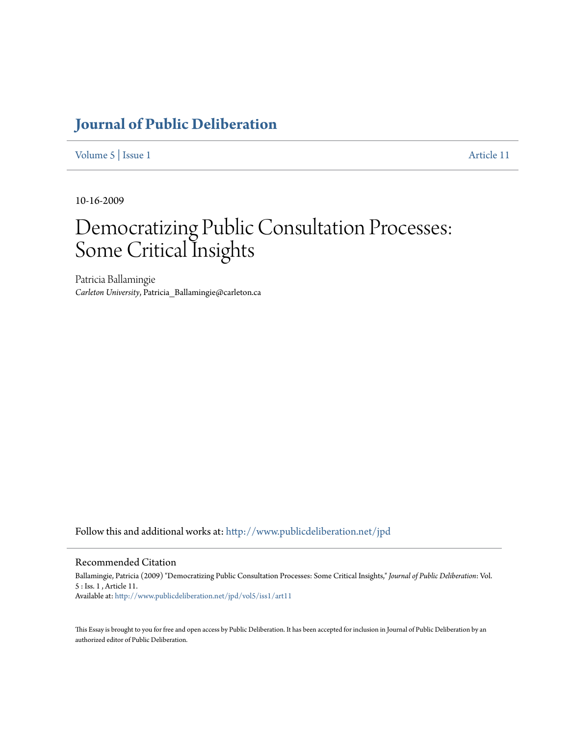## **[Journal of Public Deliberation](http://www.publicdeliberation.net/jpd?utm_source=www.publicdeliberation.net%2Fjpd%2Fvol5%2Fiss1%2Fart11&utm_medium=PDF&utm_campaign=PDFCoverPages)**

[Volume 5](http://www.publicdeliberation.net/jpd/vol5?utm_source=www.publicdeliberation.net%2Fjpd%2Fvol5%2Fiss1%2Fart11&utm_medium=PDF&utm_campaign=PDFCoverPages) | [Issue 1](http://www.publicdeliberation.net/jpd/vol5/iss1?utm_source=www.publicdeliberation.net%2Fjpd%2Fvol5%2Fiss1%2Fart11&utm_medium=PDF&utm_campaign=PDFCoverPages) [Article 11](http://www.publicdeliberation.net/jpd/vol5/iss1/art11?utm_source=www.publicdeliberation.net%2Fjpd%2Fvol5%2Fiss1%2Fart11&utm_medium=PDF&utm_campaign=PDFCoverPages)

10-16-2009

# Democratizing Public Consultation Processes: Some Critical Insights

Patricia Ballamingie *Carleton University*, Patricia\_Ballamingie@carleton.ca

Follow this and additional works at: [http://www.publicdeliberation.net/jpd](http://www.publicdeliberation.net/jpd?utm_source=www.publicdeliberation.net%2Fjpd%2Fvol5%2Fiss1%2Fart11&utm_medium=PDF&utm_campaign=PDFCoverPages)

#### Recommended Citation

Ballamingie, Patricia (2009) "Democratizing Public Consultation Processes: Some Critical Insights," *Journal of Public Deliberation*: Vol. 5 : Iss. 1 , Article 11. Available at: [http://www.publicdeliberation.net/jpd/vol5/iss1/art11](http://www.publicdeliberation.net/jpd/vol5/iss1/art11?utm_source=www.publicdeliberation.net%2Fjpd%2Fvol5%2Fiss1%2Fart11&utm_medium=PDF&utm_campaign=PDFCoverPages)

This Essay is brought to you for free and open access by Public Deliberation. It has been accepted for inclusion in Journal of Public Deliberation by an authorized editor of Public Deliberation.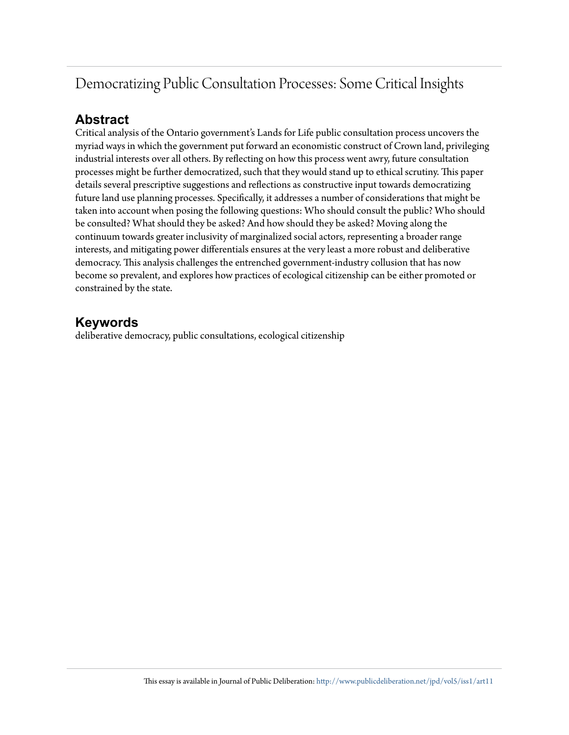## Democratizing Public Consultation Processes: Some Critical Insights

### **Abstract**

Critical analysis of the Ontario government's Lands for Life public consultation process uncovers the myriad ways in which the government put forward an economistic construct of Crown land, privileging industrial interests over all others. By reflecting on how this process went awry, future consultation processes might be further democratized, such that they would stand up to ethical scrutiny. This paper details several prescriptive suggestions and reflections as constructive input towards democratizing future land use planning processes. Specifically, it addresses a number of considerations that might be taken into account when posing the following questions: Who should consult the public? Who should be consulted? What should they be asked? And how should they be asked? Moving along the continuum towards greater inclusivity of marginalized social actors, representing a broader range interests, and mitigating power differentials ensures at the very least a more robust and deliberative democracy. This analysis challenges the entrenched government-industry collusion that has now become so prevalent, and explores how practices of ecological citizenship can be either promoted or constrained by the state.

### **Keywords**

deliberative democracy, public consultations, ecological citizenship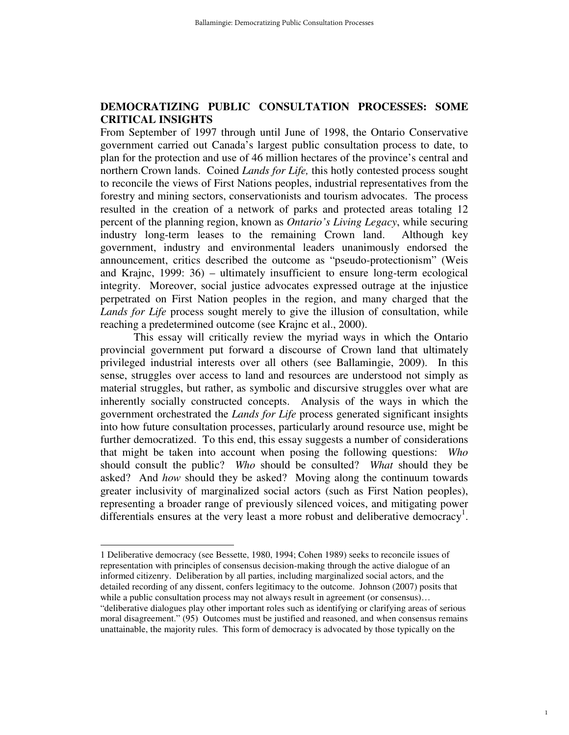#### **DEMOCRATIZING PUBLIC CONSULTATION PROCESSES: SOME CRITICAL INSIGHTS**

From September of 1997 through until June of 1998, the Ontario Conservative government carried out Canada's largest public consultation process to date, to plan for the protection and use of 46 million hectares of the province's central and northern Crown lands. Coined *Lands for Life,* this hotly contested process sought to reconcile the views of First Nations peoples, industrial representatives from the forestry and mining sectors, conservationists and tourism advocates. The process resulted in the creation of a network of parks and protected areas totaling 12 percent of the planning region, known as *Ontario's Living Legacy*, while securing industry long-term leases to the remaining Crown land. Although key government, industry and environmental leaders unanimously endorsed the announcement, critics described the outcome as "pseudo-protectionism" (Weis and Krajnc, 1999: 36) – ultimately insufficient to ensure long-term ecological integrity. Moreover, social justice advocates expressed outrage at the injustice perpetrated on First Nation peoples in the region, and many charged that the *Lands for Life* process sought merely to give the illusion of consultation, while reaching a predetermined outcome (see Krajnc et al., 2000).

 This essay will critically review the myriad ways in which the Ontario provincial government put forward a discourse of Crown land that ultimately privileged industrial interests over all others (see Ballamingie, 2009). In this sense, struggles over access to land and resources are understood not simply as material struggles, but rather, as symbolic and discursive struggles over what are inherently socially constructed concepts. Analysis of the ways in which the government orchestrated the *Lands for Life* process generated significant insights into how future consultation processes, particularly around resource use, might be further democratized. To this end, this essay suggests a number of considerations that might be taken into account when posing the following questions: *Who* should consult the public? *Who* should be consulted? *What* should they be asked? And *how* should they be asked? Moving along the continuum towards greater inclusivity of marginalized social actors (such as First Nation peoples), representing a broader range of previously silenced voices, and mitigating power differentials ensures at the very least a more robust and deliberative democracy<sup>1</sup>.

 $\overline{a}$ 

<sup>1</sup> Deliberative democracy (see Bessette, 1980, 1994; Cohen 1989) seeks to reconcile issues of representation with principles of consensus decision-making through the active dialogue of an informed citizenry. Deliberation by all parties, including marginalized social actors, and the detailed recording of any dissent, confers legitimacy to the outcome. Johnson (2007) posits that while a public consultation process may not always result in agreement (or consensus)...

<sup>&</sup>quot;deliberative dialogues play other important roles such as identifying or clarifying areas of serious moral disagreement." (95) Outcomes must be justified and reasoned, and when consensus remains unattainable, the majority rules. This form of democracy is advocated by those typically on the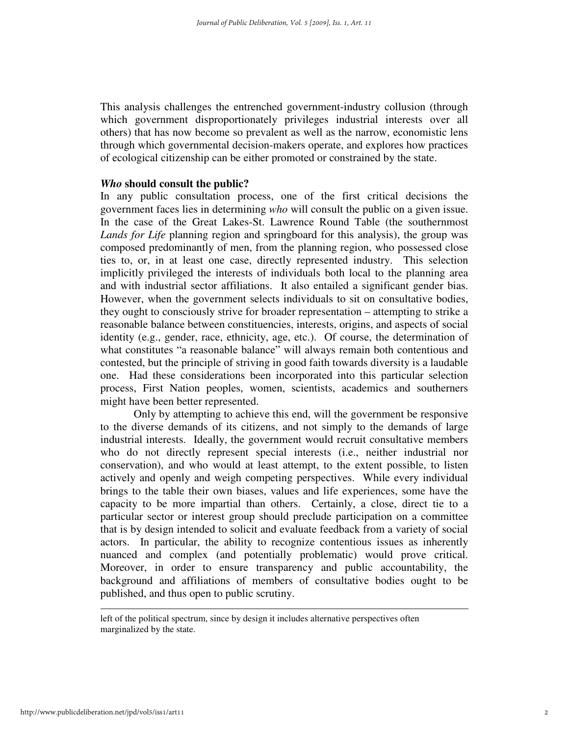This analysis challenges the entrenched government-industry collusion (through which government disproportionately privileges industrial interests over all others) that has now become so prevalent as well as the narrow, economistic lens through which governmental decision-makers operate, and explores how practices of ecological citizenship can be either promoted or constrained by the state.

#### *Who* **should consult the public?**

In any public consultation process, one of the first critical decisions the government faces lies in determining *who* will consult the public on a given issue. In the case of the Great Lakes-St. Lawrence Round Table (the southernmost *Lands for Life* planning region and springboard for this analysis), the group was composed predominantly of men, from the planning region, who possessed close ties to, or, in at least one case, directly represented industry. This selection implicitly privileged the interests of individuals both local to the planning area and with industrial sector affiliations. It also entailed a significant gender bias. However, when the government selects individuals to sit on consultative bodies, they ought to consciously strive for broader representation – attempting to strike a reasonable balance between constituencies, interests, origins, and aspects of social identity (e.g., gender, race, ethnicity, age, etc.). Of course, the determination of what constitutes "a reasonable balance" will always remain both contentious and contested, but the principle of striving in good faith towards diversity is a laudable one. Had these considerations been incorporated into this particular selection process, First Nation peoples, women, scientists, academics and southerners might have been better represented.

 Only by attempting to achieve this end, will the government be responsive to the diverse demands of its citizens, and not simply to the demands of large industrial interests. Ideally, the government would recruit consultative members who do not directly represent special interests (i.e., neither industrial nor conservation), and who would at least attempt, to the extent possible, to listen actively and openly and weigh competing perspectives. While every individual brings to the table their own biases, values and life experiences, some have the capacity to be more impartial than others. Certainly, a close, direct tie to a particular sector or interest group should preclude participation on a committee that is by design intended to solicit and evaluate feedback from a variety of social actors. In particular, the ability to recognize contentious issues as inherently nuanced and complex (and potentially problematic) would prove critical. Moreover, in order to ensure transparency and public accountability, the background and affiliations of members of consultative bodies ought to be published, and thus open to public scrutiny.

 $\overline{a}$ 

left of the political spectrum, since by design it includes alternative perspectives often marginalized by the state.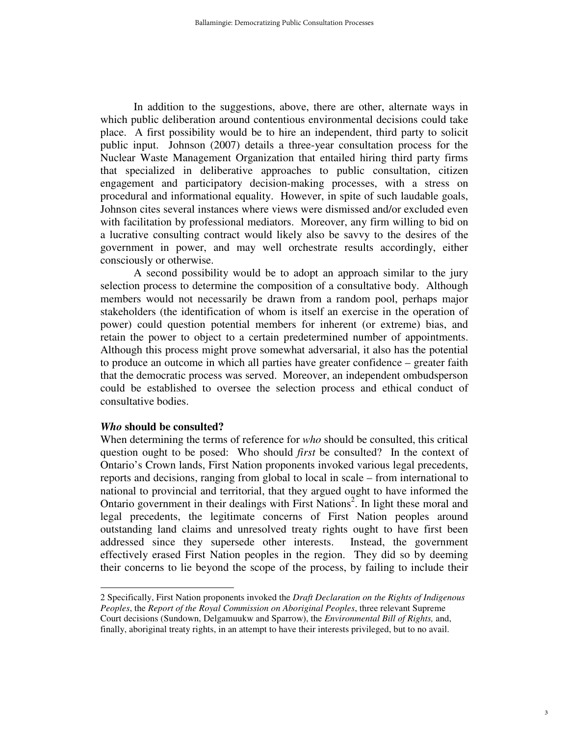In addition to the suggestions, above, there are other, alternate ways in which public deliberation around contentious environmental decisions could take place. A first possibility would be to hire an independent, third party to solicit public input. Johnson (2007) details a three-year consultation process for the Nuclear Waste Management Organization that entailed hiring third party firms that specialized in deliberative approaches to public consultation, citizen engagement and participatory decision-making processes, with a stress on procedural and informational equality. However, in spite of such laudable goals, Johnson cites several instances where views were dismissed and/or excluded even with facilitation by professional mediators. Moreover, any firm willing to bid on a lucrative consulting contract would likely also be savvy to the desires of the government in power, and may well orchestrate results accordingly, either consciously or otherwise.

 A second possibility would be to adopt an approach similar to the jury selection process to determine the composition of a consultative body. Although members would not necessarily be drawn from a random pool, perhaps major stakeholders (the identification of whom is itself an exercise in the operation of power) could question potential members for inherent (or extreme) bias, and retain the power to object to a certain predetermined number of appointments. Although this process might prove somewhat adversarial, it also has the potential to produce an outcome in which all parties have greater confidence – greater faith that the democratic process was served. Moreover, an independent ombudsperson could be established to oversee the selection process and ethical conduct of consultative bodies.

#### *Who* **should be consulted?**

 $\overline{a}$ 

When determining the terms of reference for *who* should be consulted, this critical question ought to be posed: Who should *first* be consulted? In the context of Ontario's Crown lands, First Nation proponents invoked various legal precedents, reports and decisions, ranging from global to local in scale – from international to national to provincial and territorial, that they argued ought to have informed the Ontario government in their dealings with First Nations<sup>2</sup>. In light these moral and legal precedents, the legitimate concerns of First Nation peoples around outstanding land claims and unresolved treaty rights ought to have first been addressed since they supersede other interests. Instead, the government effectively erased First Nation peoples in the region. They did so by deeming their concerns to lie beyond the scope of the process, by failing to include their

<sup>2</sup> Specifically, First Nation proponents invoked the *Draft Declaration on the Rights of Indigenous Peoples*, the *Report of the Royal Commission on Aboriginal Peoples*, three relevant Supreme Court decisions (Sundown, Delgamuukw and Sparrow), the *Environmental Bill of Rights,* and, finally, aboriginal treaty rights, in an attempt to have their interests privileged, but to no avail.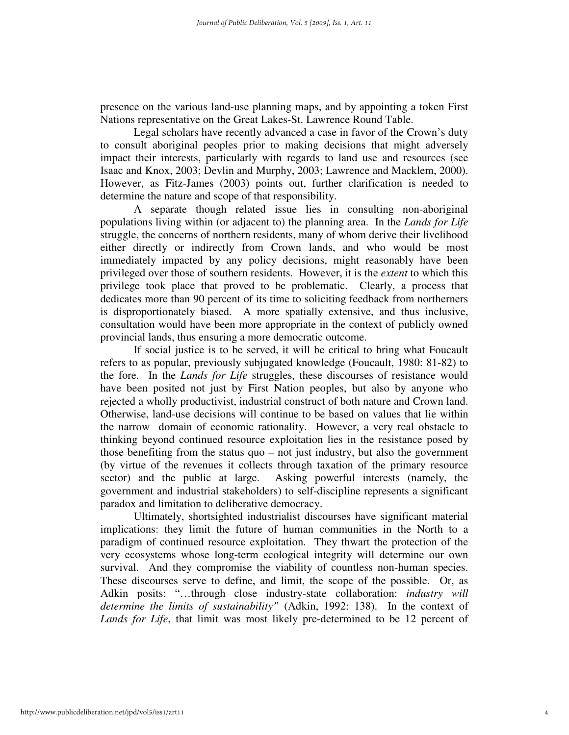presence on the various land-use planning maps, and by appointing a token First Nations representative on the Great Lakes-St. Lawrence Round Table.

 Legal scholars have recently advanced a case in favor of the Crown's duty to consult aboriginal peoples prior to making decisions that might adversely impact their interests, particularly with regards to land use and resources (see Isaac and Knox, 2003; Devlin and Murphy, 2003; Lawrence and Macklem, 2000). However, as Fitz-James (2003) points out, further clarification is needed to determine the nature and scope of that responsibility.

A separate though related issue lies in consulting non-aboriginal populations living within (or adjacent to) the planning area. In the *Lands for Life* struggle, the concerns of northern residents, many of whom derive their livelihood either directly or indirectly from Crown lands, and who would be most immediately impacted by any policy decisions, might reasonably have been privileged over those of southern residents. However, it is the *extent* to which this privilege took place that proved to be problematic. Clearly, a process that dedicates more than 90 percent of its time to soliciting feedback from northerners is disproportionately biased. A more spatially extensive, and thus inclusive, consultation would have been more appropriate in the context of publicly owned provincial lands, thus ensuring a more democratic outcome.

 If social justice is to be served, it will be critical to bring what Foucault refers to as popular, previously subjugated knowledge (Foucault, 1980: 81-82) to the fore. In the *Lands for Life* struggles, these discourses of resistance would have been posited not just by First Nation peoples, but also by anyone who rejected a wholly productivist, industrial construct of both nature and Crown land. Otherwise, land-use decisions will continue to be based on values that lie within the narrow domain of economic rationality. However, a very real obstacle to thinking beyond continued resource exploitation lies in the resistance posed by those benefiting from the status quo – not just industry, but also the government (by virtue of the revenues it collects through taxation of the primary resource sector) and the public at large. Asking powerful interests (namely, the government and industrial stakeholders) to self-discipline represents a significant paradox and limitation to deliberative democracy.

 Ultimately, shortsighted industrialist discourses have significant material implications: they limit the future of human communities in the North to a paradigm of continued resource exploitation. They thwart the protection of the very ecosystems whose long-term ecological integrity will determine our own survival. And they compromise the viability of countless non-human species. These discourses serve to define, and limit, the scope of the possible. Or, as Adkin posits: "…through close industry-state collaboration: *industry will determine the limits of sustainability"* (Adkin, 1992: 138). In the context of *Lands for Life*, that limit was most likely pre-determined to be 12 percent of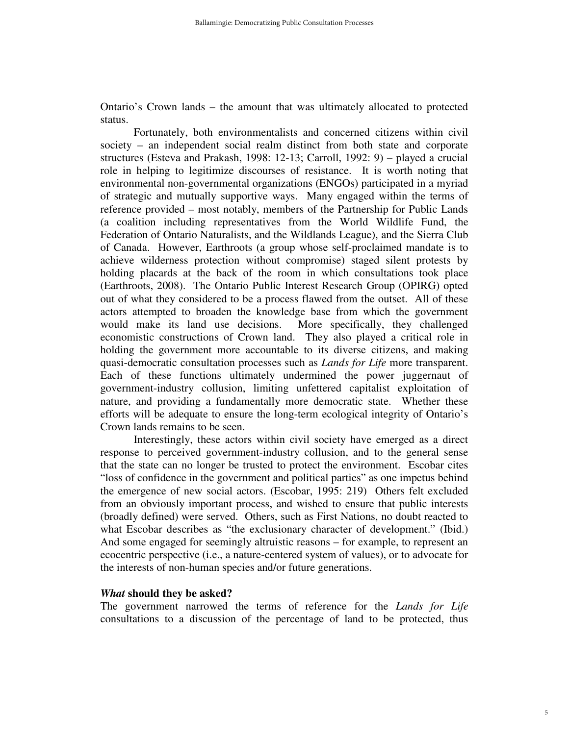Ontario's Crown lands – the amount that was ultimately allocated to protected status.

 Fortunately, both environmentalists and concerned citizens within civil society – an independent social realm distinct from both state and corporate structures (Esteva and Prakash, 1998: 12-13; Carroll, 1992: 9) – played a crucial role in helping to legitimize discourses of resistance. It is worth noting that environmental non-governmental organizations (ENGOs) participated in a myriad of strategic and mutually supportive ways. Many engaged within the terms of reference provided – most notably, members of the Partnership for Public Lands (a coalition including representatives from the World Wildlife Fund, the Federation of Ontario Naturalists, and the Wildlands League), and the Sierra Club of Canada. However, Earthroots (a group whose self-proclaimed mandate is to achieve wilderness protection without compromise) staged silent protests by holding placards at the back of the room in which consultations took place (Earthroots, 2008). The Ontario Public Interest Research Group (OPIRG) opted out of what they considered to be a process flawed from the outset. All of these actors attempted to broaden the knowledge base from which the government would make its land use decisions. More specifically, they challenged economistic constructions of Crown land. They also played a critical role in holding the government more accountable to its diverse citizens, and making quasi-democratic consultation processes such as *Lands for Life* more transparent. Each of these functions ultimately undermined the power juggernaut of government-industry collusion, limiting unfettered capitalist exploitation of nature, and providing a fundamentally more democratic state. Whether these efforts will be adequate to ensure the long-term ecological integrity of Ontario's Crown lands remains to be seen.

 Interestingly, these actors within civil society have emerged as a direct response to perceived government-industry collusion, and to the general sense that the state can no longer be trusted to protect the environment. Escobar cites "loss of confidence in the government and political parties" as one impetus behind the emergence of new social actors. (Escobar, 1995: 219) Others felt excluded from an obviously important process, and wished to ensure that public interests (broadly defined) were served. Others, such as First Nations, no doubt reacted to what Escobar describes as "the exclusionary character of development." (Ibid.) And some engaged for seemingly altruistic reasons – for example, to represent an ecocentric perspective (i.e., a nature-centered system of values), or to advocate for the interests of non-human species and/or future generations.

#### *What* **should they be asked?**

The government narrowed the terms of reference for the *Lands for Life* consultations to a discussion of the percentage of land to be protected, thus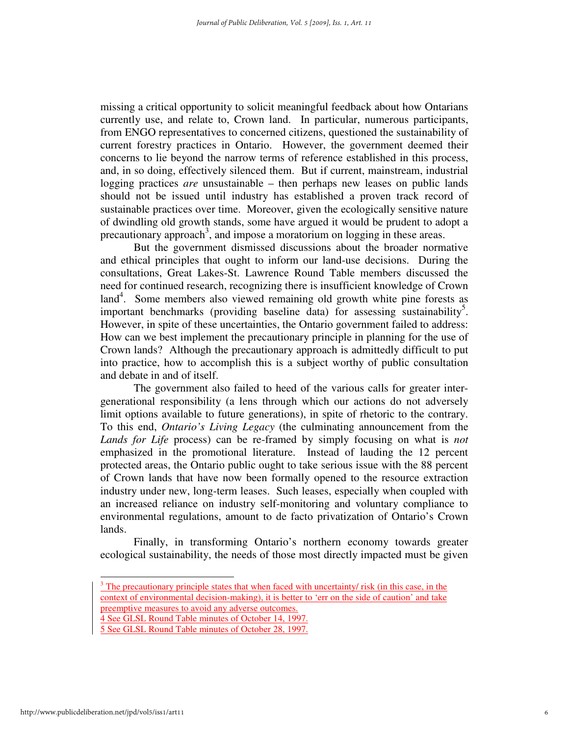missing a critical opportunity to solicit meaningful feedback about how Ontarians currently use, and relate to, Crown land. In particular, numerous participants, from ENGO representatives to concerned citizens, questioned the sustainability of current forestry practices in Ontario. However, the government deemed their concerns to lie beyond the narrow terms of reference established in this process, and, in so doing, effectively silenced them. But if current, mainstream, industrial logging practices *are* unsustainable – then perhaps new leases on public lands should not be issued until industry has established a proven track record of sustainable practices over time. Moreover, given the ecologically sensitive nature of dwindling old growth stands, some have argued it would be prudent to adopt a precautionary approach<sup>3</sup>, and impose a moratorium on logging in these areas.

 But the government dismissed discussions about the broader normative and ethical principles that ought to inform our land-use decisions. During the consultations, Great Lakes-St. Lawrence Round Table members discussed the need for continued research, recognizing there is insufficient knowledge of Crown land<sup>4</sup>. Some members also viewed remaining old growth white pine forests as important benchmarks (providing baseline data) for assessing sustainability<sup>5</sup>. However, in spite of these uncertainties, the Ontario government failed to address: How can we best implement the precautionary principle in planning for the use of Crown lands? Although the precautionary approach is admittedly difficult to put into practice, how to accomplish this is a subject worthy of public consultation and debate in and of itself.

 The government also failed to heed of the various calls for greater intergenerational responsibility (a lens through which our actions do not adversely limit options available to future generations), in spite of rhetoric to the contrary. To this end, *Ontario's Living Legacy* (the culminating announcement from the *Lands for Life* process) can be re-framed by simply focusing on what is *not* emphasized in the promotional literature. Instead of lauding the 12 percent protected areas, the Ontario public ought to take serious issue with the 88 percent of Crown lands that have now been formally opened to the resource extraction industry under new, long-term leases. Such leases, especially when coupled with an increased reliance on industry self-monitoring and voluntary compliance to environmental regulations, amount to de facto privatization of Ontario's Crown lands.

 Finally, in transforming Ontario's northern economy towards greater ecological sustainability, the needs of those most directly impacted must be given

 $\overline{a}$ 

 $3$  The precautionary principle states that when faced with uncertainty/ risk (in this case, in the context of environmental decision-making), it is better to 'err on the side of caution' and take preemptive measures to avoid any adverse outcomes.

<sup>4</sup> See GLSL Round Table minutes of October 14, 1997.

<sup>5</sup> See GLSL Round Table minutes of October 28, 1997.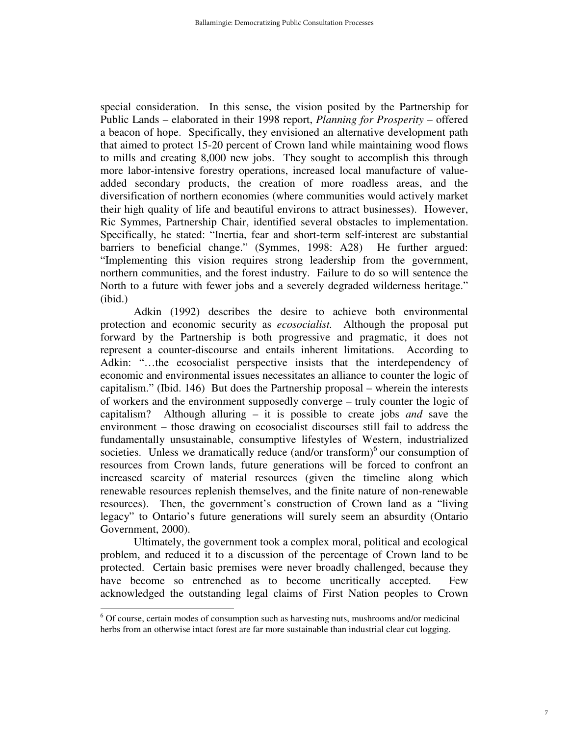special consideration. In this sense, the vision posited by the Partnership for Public Lands – elaborated in their 1998 report, *Planning for Prosperity –* offered a beacon of hope. Specifically, they envisioned an alternative development path that aimed to protect 15-20 percent of Crown land while maintaining wood flows to mills and creating 8,000 new jobs. They sought to accomplish this through more labor-intensive forestry operations, increased local manufacture of valueadded secondary products, the creation of more roadless areas, and the diversification of northern economies (where communities would actively market their high quality of life and beautiful environs to attract businesses). However, Ric Symmes, Partnership Chair, identified several obstacles to implementation. Specifically, he stated: "Inertia, fear and short-term self-interest are substantial barriers to beneficial change." (Symmes, 1998: A28) He further argued: "Implementing this vision requires strong leadership from the government, northern communities, and the forest industry. Failure to do so will sentence the North to a future with fewer jobs and a severely degraded wilderness heritage." (ibid.)

 Adkin (1992) describes the desire to achieve both environmental protection and economic security as *ecosocialist.* Although the proposal put forward by the Partnership is both progressive and pragmatic, it does not represent a counter-discourse and entails inherent limitations. According to Adkin: "...the ecosocialist perspective insists that the interdependency of economic and environmental issues necessitates an alliance to counter the logic of capitalism." (Ibid. 146) But does the Partnership proposal – wherein the interests of workers and the environment supposedly converge – truly counter the logic of capitalism? Although alluring – it is possible to create jobs *and* save the environment – those drawing on ecosocialist discourses still fail to address the fundamentally unsustainable, consumptive lifestyles of Western, industrialized societies. Unless we dramatically reduce  $($ and/or transform $)$ <sup>6</sup> our consumption of resources from Crown lands, future generations will be forced to confront an increased scarcity of material resources (given the timeline along which renewable resources replenish themselves, and the finite nature of non-renewable resources). Then, the government's construction of Crown land as a "living legacy" to Ontario's future generations will surely seem an absurdity (Ontario Government, 2000).

 Ultimately, the government took a complex moral, political and ecological problem, and reduced it to a discussion of the percentage of Crown land to be protected. Certain basic premises were never broadly challenged, because they have become so entrenched as to become uncritically accepted. Few acknowledged the outstanding legal claims of First Nation peoples to Crown

<sup>&</sup>lt;sup>6</sup> Of course, certain modes of consumption such as harvesting nuts, mushrooms and/or medicinal herbs from an otherwise intact forest are far more sustainable than industrial clear cut logging.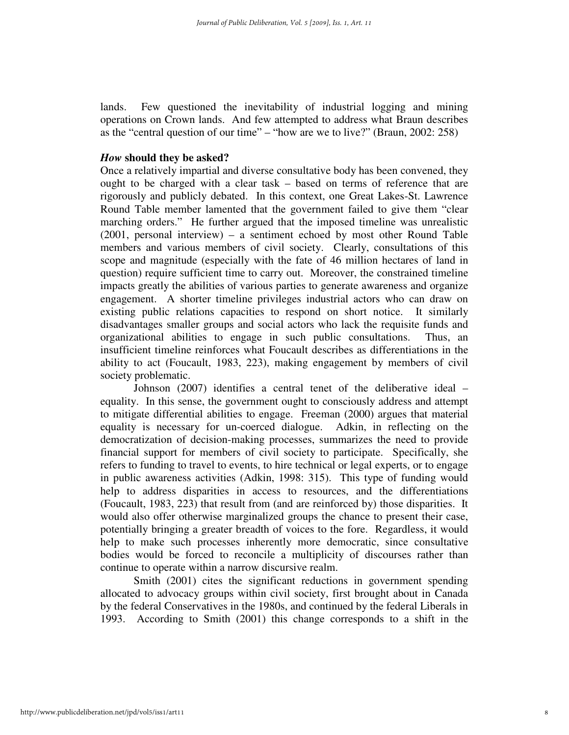lands. Few questioned the inevitability of industrial logging and mining operations on Crown lands. And few attempted to address what Braun describes as the "central question of our time" – "how are we to live?" (Braun, 2002: 258)

#### *How* **should they be asked?**

Once a relatively impartial and diverse consultative body has been convened, they ought to be charged with a clear task – based on terms of reference that are rigorously and publicly debated. In this context, one Great Lakes-St. Lawrence Round Table member lamented that the government failed to give them "clear marching orders." He further argued that the imposed timeline was unrealistic (2001, personal interview) – a sentiment echoed by most other Round Table members and various members of civil society. Clearly, consultations of this scope and magnitude (especially with the fate of 46 million hectares of land in question) require sufficient time to carry out. Moreover, the constrained timeline impacts greatly the abilities of various parties to generate awareness and organize engagement. A shorter timeline privileges industrial actors who can draw on existing public relations capacities to respond on short notice. It similarly disadvantages smaller groups and social actors who lack the requisite funds and organizational abilities to engage in such public consultations. Thus, an insufficient timeline reinforces what Foucault describes as differentiations in the ability to act (Foucault, 1983, 223), making engagement by members of civil society problematic.

Johnson (2007) identifies a central tenet of the deliberative ideal – equality. In this sense, the government ought to consciously address and attempt to mitigate differential abilities to engage. Freeman (2000) argues that material equality is necessary for un-coerced dialogue. Adkin, in reflecting on the democratization of decision-making processes, summarizes the need to provide financial support for members of civil society to participate. Specifically, she refers to funding to travel to events, to hire technical or legal experts, or to engage in public awareness activities (Adkin, 1998: 315). This type of funding would help to address disparities in access to resources, and the differentiations (Foucault, 1983, 223) that result from (and are reinforced by) those disparities. It would also offer otherwise marginalized groups the chance to present their case, potentially bringing a greater breadth of voices to the fore. Regardless, it would help to make such processes inherently more democratic, since consultative bodies would be forced to reconcile a multiplicity of discourses rather than continue to operate within a narrow discursive realm.

 Smith (2001) cites the significant reductions in government spending allocated to advocacy groups within civil society, first brought about in Canada by the federal Conservatives in the 1980s, and continued by the federal Liberals in 1993. According to Smith (2001) this change corresponds to a shift in the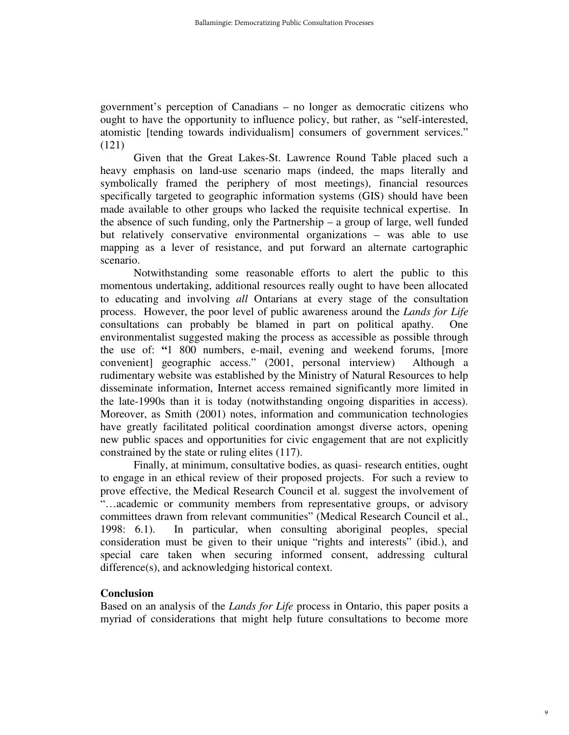government's perception of Canadians – no longer as democratic citizens who ought to have the opportunity to influence policy, but rather, as "self-interested, atomistic [tending towards individualism] consumers of government services." (121)

 Given that the Great Lakes-St. Lawrence Round Table placed such a heavy emphasis on land-use scenario maps (indeed, the maps literally and symbolically framed the periphery of most meetings), financial resources specifically targeted to geographic information systems (GIS) should have been made available to other groups who lacked the requisite technical expertise. In the absence of such funding, only the Partnership – a group of large, well funded but relatively conservative environmental organizations – was able to use mapping as a lever of resistance, and put forward an alternate cartographic scenario.

 Notwithstanding some reasonable efforts to alert the public to this momentous undertaking, additional resources really ought to have been allocated to educating and involving *all* Ontarians at every stage of the consultation process. However, the poor level of public awareness around the *Lands for Life*  consultations can probably be blamed in part on political apathy. One environmentalist suggested making the process as accessible as possible through the use of: **"**1 800 numbers, e-mail, evening and weekend forums, [more convenient] geographic access." (2001, personal interview) Although a rudimentary website was established by the Ministry of Natural Resources to help disseminate information, Internet access remained significantly more limited in the late-1990s than it is today (notwithstanding ongoing disparities in access). Moreover, as Smith (2001) notes, information and communication technologies have greatly facilitated political coordination amongst diverse actors, opening new public spaces and opportunities for civic engagement that are not explicitly constrained by the state or ruling elites (117).

 Finally, at minimum, consultative bodies, as quasi- research entities, ought to engage in an ethical review of their proposed projects. For such a review to prove effective, the Medical Research Council et al. suggest the involvement of "…academic or community members from representative groups, or advisory committees drawn from relevant communities" (Medical Research Council et al., 1998: 6.1). In particular, when consulting aboriginal peoples, special consideration must be given to their unique "rights and interests" (ibid.), and special care taken when securing informed consent, addressing cultural difference(s), and acknowledging historical context.

#### **Conclusion**

Based on an analysis of the *Lands for Life* process in Ontario, this paper posits a myriad of considerations that might help future consultations to become more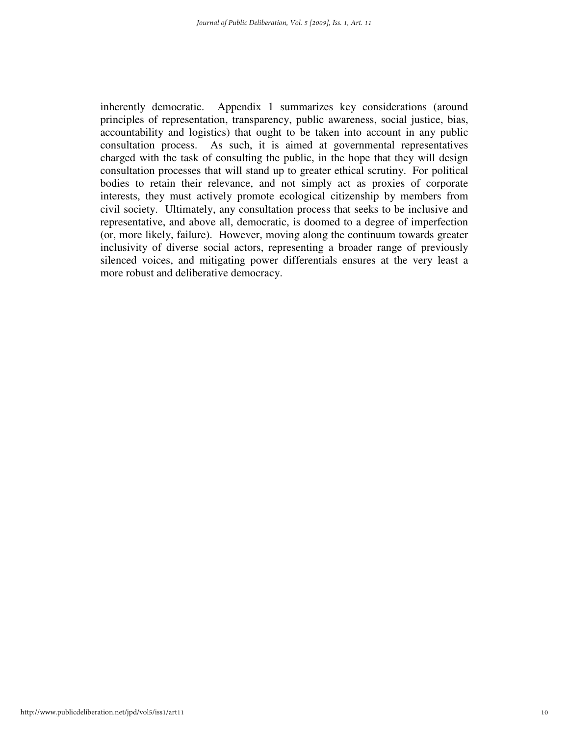inherently democratic. Appendix 1 summarizes key considerations (around principles of representation, transparency, public awareness, social justice, bias, accountability and logistics) that ought to be taken into account in any public consultation process. As such, it is aimed at governmental representatives charged with the task of consulting the public, in the hope that they will design consultation processes that will stand up to greater ethical scrutiny. For political bodies to retain their relevance, and not simply act as proxies of corporate interests, they must actively promote ecological citizenship by members from civil society. Ultimately, any consultation process that seeks to be inclusive and representative, and above all, democratic, is doomed to a degree of imperfection (or, more likely, failure). However, moving along the continuum towards greater inclusivity of diverse social actors, representing a broader range of previously silenced voices, and mitigating power differentials ensures at the very least a more robust and deliberative democracy.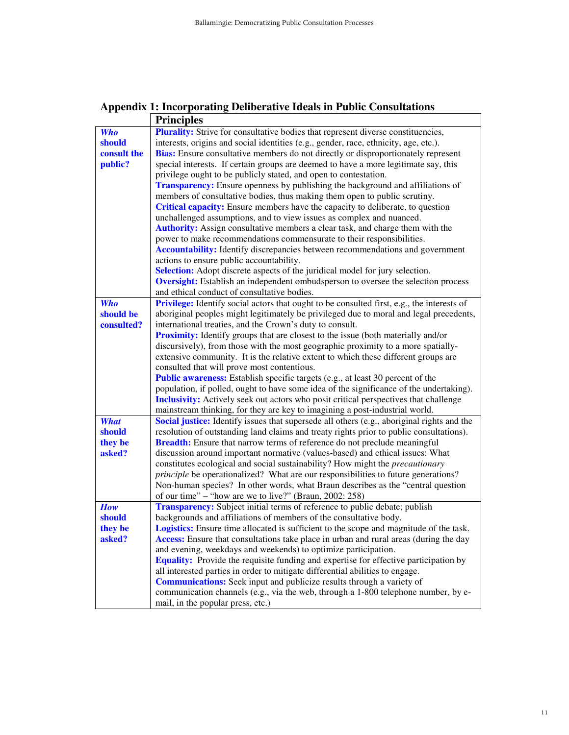#### **Appendix 1: Incorporating Deliberative Ideals in Public Consultations**

|             | <b>Principles</b>                                                                                                                                                               |
|-------------|---------------------------------------------------------------------------------------------------------------------------------------------------------------------------------|
| <b>Who</b>  | <b>Plurality:</b> Strive for consultative bodies that represent diverse constituencies,                                                                                         |
| should      | interests, origins and social identities (e.g., gender, race, ethnicity, age, etc.).                                                                                            |
| consult the | <b>Bias:</b> Ensure consultative members do not directly or disproportionately represent                                                                                        |
| public?     | special interests. If certain groups are deemed to have a more legitimate say, this                                                                                             |
|             | privilege ought to be publicly stated, and open to contestation.                                                                                                                |
|             | <b>Transparency:</b> Ensure openness by publishing the background and affiliations of                                                                                           |
|             | members of consultative bodies, thus making them open to public scrutiny.                                                                                                       |
|             | Critical capacity: Ensure members have the capacity to deliberate, to question                                                                                                  |
|             | unchallenged assumptions, and to view issues as complex and nuanced.                                                                                                            |
|             | Authority: Assign consultative members a clear task, and charge them with the                                                                                                   |
|             | power to make recommendations commensurate to their responsibilities.                                                                                                           |
|             | <b>Accountability:</b> Identify discrepancies between recommendations and government                                                                                            |
|             | actions to ensure public accountability.                                                                                                                                        |
|             | Selection: Adopt discrete aspects of the juridical model for jury selection.                                                                                                    |
|             | <b>Oversight:</b> Establish an independent ombudsperson to oversee the selection process                                                                                        |
|             | and ethical conduct of consultative bodies.                                                                                                                                     |
| <b>Who</b>  | Privilege: Identify social actors that ought to be consulted first, e.g., the interests of                                                                                      |
| should be   | aboriginal peoples might legitimately be privileged due to moral and legal precedents,                                                                                          |
| consulted?  | international treaties, and the Crown's duty to consult.                                                                                                                        |
|             | <b>Proximity:</b> Identify groups that are closest to the issue (both materially and/or                                                                                         |
|             | discursively), from those with the most geographic proximity to a more spatially-                                                                                               |
|             | extensive community. It is the relative extent to which these different groups are                                                                                              |
|             | consulted that will prove most contentious.                                                                                                                                     |
|             | Public awareness: Establish specific targets (e.g., at least 30 percent of the                                                                                                  |
|             | population, if polled, ought to have some idea of the significance of the undertaking).                                                                                         |
|             | <b>Inclusivity:</b> Actively seek out actors who posit critical perspectives that challenge                                                                                     |
|             | mainstream thinking, for they are key to imagining a post-industrial world.                                                                                                     |
| <b>What</b> | Social justice: Identify issues that supersede all others (e.g., aboriginal rights and the                                                                                      |
| should      | resolution of outstanding land claims and treaty rights prior to public consultations).                                                                                         |
| they be     | <b>Breadth:</b> Ensure that narrow terms of reference do not preclude meaningful                                                                                                |
| asked?      | discussion around important normative (values-based) and ethical issues: What                                                                                                   |
|             | constitutes ecological and social sustainability? How might the <i>precautionary</i>                                                                                            |
|             | principle be operationalized? What are our responsibilities to future generations?                                                                                              |
|             | Non-human species? In other words, what Braun describes as the "central question                                                                                                |
|             | of our time" – "how are we to live?" (Braun, 2002: 258)                                                                                                                         |
| How         | Transparency: Subject initial terms of reference to public debate; publish                                                                                                      |
| should      | backgrounds and affiliations of members of the consultative body.                                                                                                               |
| they be     | Logistics: Ensure time allocated is sufficient to the scope and magnitude of the task.<br>Access: Ensure that consultations take place in urban and rural areas (during the day |
| asked?      | and evening, weekdays and weekends) to optimize participation.                                                                                                                  |
|             | <b>Equality:</b> Provide the requisite funding and expertise for effective participation by                                                                                     |
|             | all interested parties in order to mitigate differential abilities to engage.                                                                                                   |
|             | <b>Communications:</b> Seek input and publicize results through a variety of                                                                                                    |
|             | communication channels (e.g., via the web, through a 1-800 telephone number, by e-                                                                                              |
|             | mail, in the popular press, etc.)                                                                                                                                               |
|             |                                                                                                                                                                                 |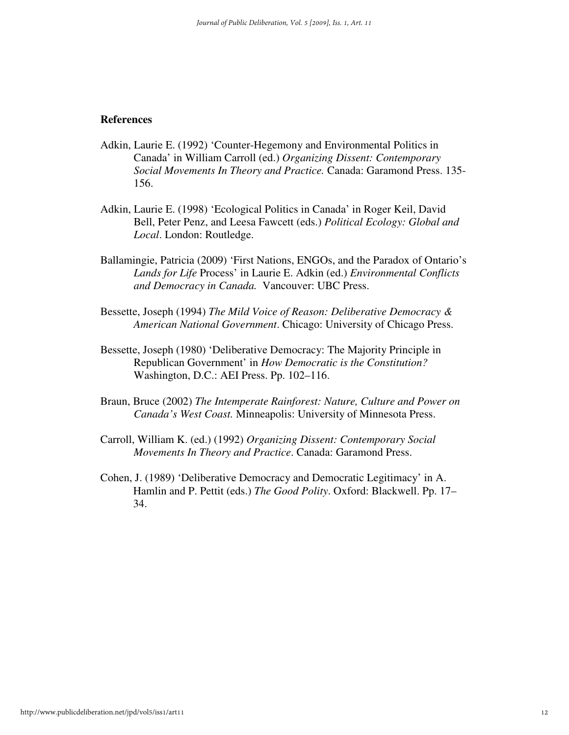#### **References**

- Adkin, Laurie E. (1992) 'Counter-Hegemony and Environmental Politics in Canada' in William Carroll (ed.) *Organizing Dissent: Contemporary Social Movements In Theory and Practice.* Canada: Garamond Press. 135- 156.
- Adkin, Laurie E. (1998) 'Ecological Politics in Canada' in Roger Keil, David Bell, Peter Penz, and Leesa Fawcett (eds.) *Political Ecology: Global and Local*. London: Routledge.
- Ballamingie, Patricia (2009) 'First Nations, ENGOs, and the Paradox of Ontario's *Lands for Life* Process' in Laurie E. Adkin (ed.) *Environmental Conflicts and Democracy in Canada.* Vancouver: UBC Press.
- Bessette, Joseph (1994) *The Mild Voice of Reason: Deliberative Democracy & American National Government*. Chicago: University of Chicago Press.
- Bessette, Joseph (1980) 'Deliberative Democracy: The Majority Principle in Republican Government' in *How Democratic is the Constitution?* Washington, D.C.: AEI Press. Pp. 102–116.
- Braun, Bruce (2002) *The Intemperate Rainforest: Nature, Culture and Power on Canada's West Coast.* Minneapolis: University of Minnesota Press.
- Carroll, William K. (ed.) (1992) *Organizing Dissent: Contemporary Social Movements In Theory and Practice*. Canada: Garamond Press.
- Cohen, J. (1989) 'Deliberative Democracy and Democratic Legitimacy' in A. Hamlin and P. Pettit (eds.) *The Good Polity*. Oxford: Blackwell. Pp. 17– 34.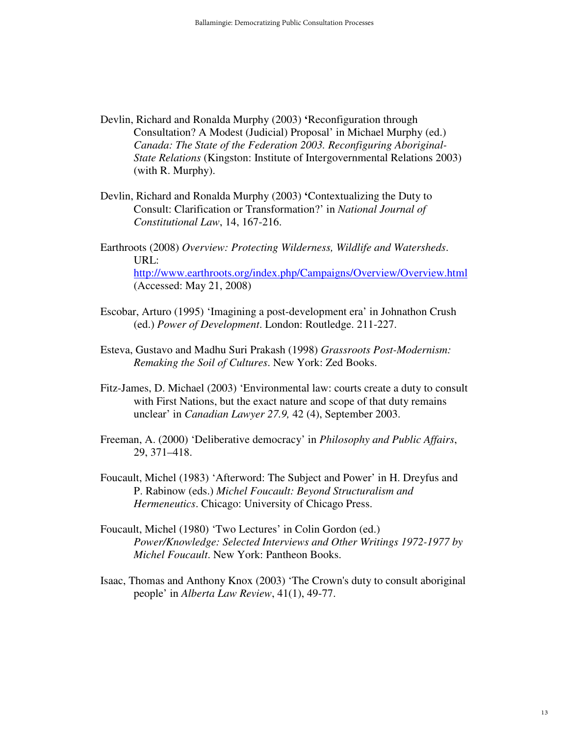- Devlin, Richard and Ronalda Murphy (2003) **'**Reconfiguration through Consultation? A Modest (Judicial) Proposal' in Michael Murphy (ed.) *Canada: The State of the Federation 2003. Reconfiguring Aboriginal-State Relations* (Kingston: Institute of Intergovernmental Relations 2003) (with R. Murphy).
- Devlin, Richard and Ronalda Murphy (2003) **'**Contextualizing the Duty to Consult: Clarification or Transformation?' in *National Journal of Constitutional Law*, 14, 167-216.
- Earthroots (2008) *Overview: Protecting Wilderness, Wildlife and Watersheds*. URL: http://www.earthroots.org/index.php/Campaigns/Overview/Overview.html (Accessed: May 21, 2008)
- Escobar, Arturo (1995) 'Imagining a post-development era' in Johnathon Crush (ed.) *Power of Development*. London: Routledge. 211-227.
- Esteva, Gustavo and Madhu Suri Prakash (1998) *Grassroots Post-Modernism: Remaking the Soil of Cultures*. New York: Zed Books.
- Fitz-James, D. Michael (2003) 'Environmental law: courts create a duty to consult with First Nations, but the exact nature and scope of that duty remains unclear' in *Canadian Lawyer 27.9,* 42 (4), September 2003.
- Freeman, A. (2000) 'Deliberative democracy' in *Philosophy and Public Affairs*, 29, 371–418.
- Foucault, Michel (1983) 'Afterword: The Subject and Power' in H. Dreyfus and P. Rabinow (eds.) *Michel Foucault: Beyond Structuralism and Hermeneutics*. Chicago: University of Chicago Press.
- Foucault, Michel (1980) 'Two Lectures' in Colin Gordon (ed.) *Power/Knowledge: Selected Interviews and Other Writings 1972-1977 by Michel Foucault*. New York: Pantheon Books.
- Isaac, Thomas and Anthony Knox (2003) 'The Crown's duty to consult aboriginal people' in *Alberta Law Review*, 41(1), 49-77.